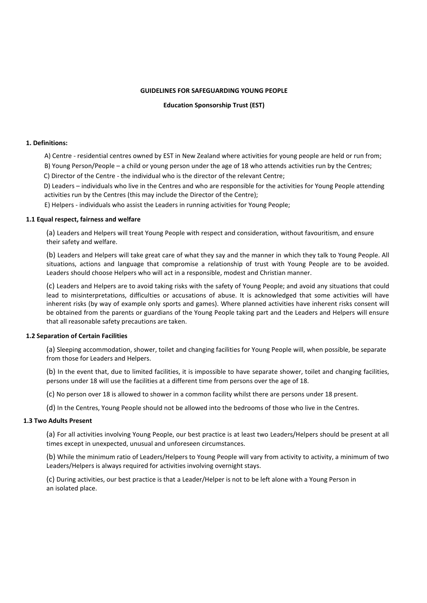### **GUIDELINES FOR SAFEGUARDING YOUNG PEOPLE**

**Education Sponsorship Trust (EST)**

## **1. Definitions:**

A) Centre - residential centres owned by EST in New Zealand where activities for young people are held or run from;

B) Young Person/People – a child or young person under the age of 18 who attends activities run by the Centres;

C) Director of the Centre - the individual who is the director of the relevant Centre;

D) Leaders – individuals who live in the Centres and who are responsible for the activities for Young People attending activities run by the Centres (this may include the Director of the Centre);

E) Helpers - individuals who assist the Leaders in running activities for Young People;

### **1.1 Equal respect, fairness and welfare**

(a) Leaders and Helpers will treat Young People with respect and consideration, without favouritism, and ensure their safety and welfare.

(b) Leaders and Helpers will take great care of what they say and the manner in which they talk to Young People. All situations, actions and language that compromise a relationship of trust with Young People are to be avoided. Leaders should choose Helpers who will act in a responsible, modest and Christian manner.

(c) Leaders and Helpers are to avoid taking risks with the safety of Young People; and avoid any situations that could lead to misinterpretations, difficulties or accusations of abuse. It is acknowledged that some activities will have inherent risks (by way of example only sports and games). Where planned activities have inherent risks consent will be obtained from the parents or guardians of the Young People taking part and the Leaders and Helpers will ensure that all reasonable safety precautions are taken.

# **1.2 Separation of Certain Facilities**

(a) Sleeping accommodation, shower, toilet and changing facilities for Young People will, when possible, be separate from those for Leaders and Helpers.

(b) In the event that, due to limited facilities, it is impossible to have separate shower, toilet and changing facilities, persons under 18 will use the facilities at a different time from persons over the age of 18.

(c) No person over 18 is allowed to shower in a common facility whilst there are persons under 18 present.

(d) In the Centres, Young People should not be allowed into the bedrooms of those who live in the Centres.

# **1.3 Two Adults Present**

(a) For all activities involving Young People, our best practice is at least two Leaders/Helpers should be present at all times except in unexpected, unusual and unforeseen circumstances.

(b) While the minimum ratio of Leaders/Helpers to Young People will vary from activity to activity, a minimum of two Leaders/Helpers is always required for activities involving overnight stays.

(c) During activities, our best practice is that a Leader/Helper is not to be left alone with a Young Person in an isolated place.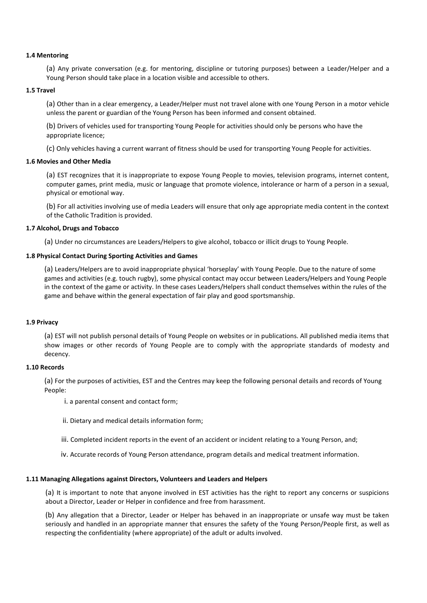## **1.4 Mentoring**

(a) Any private conversation (e.g. for mentoring, discipline or tutoring purposes) between a Leader/Helper and a Young Person should take place in a location visible and accessible to others.

### **1.5 Travel**

(a) Other than in a clear emergency, a Leader/Helper must not travel alone with one Young Person in a motor vehicle unless the parent or guardian of the Young Person has been informed and consent obtained.

(b) Drivers of vehicles used for transporting Young People for activities should only be persons who have the appropriate licence;

(c) Only vehicles having a current warrant of fitness should be used for transporting Young People for activities.

## **1.6 Movies and Other Media**

(a) EST recognizes that it is inappropriate to expose Young People to movies, television programs, internet content, computer games, print media, music or language that promote violence, intolerance or harm of a person in a sexual, physical or emotional way.

(b) For all activities involving use of media Leaders will ensure that only age appropriate media content in the context of the Catholic Tradition is provided.

### **1.7 Alcohol, Drugs and Tobacco**

(a) Under no circumstances are Leaders/Helpers to give alcohol, tobacco or illicit drugs to Young People.

### **1.8 Physical Contact During Sporting Activities and Games**

(a) Leaders/Helpers are to avoid inappropriate physical 'horseplay' with Young People. Due to the nature of some games and activities (e.g. touch rugby), some physical contact may occur between Leaders/Helpers and Young People in the context of the game or activity. In these cases Leaders/Helpers shall conduct themselves within the rules of the game and behave within the general expectation of fair play and good sportsmanship.

# **1.9 Privacy**

(a) EST will not publish personal details of Young People on websites or in publications. All published media items that show images or other records of Young People are to comply with the appropriate standards of modesty and decency.

#### **1.10 Records**

(a) For the purposes of activities, EST and the Centres may keep the following personal details and records of Young People:

i. a parental consent and contact form;

- ii. Dietary and medical details information form;
- iii. Completed incident reports in the event of an accident or incident relating to a Young Person, and;
- iv. Accurate records of Young Person attendance, program details and medical treatment information.

#### **1.11 Managing Allegations against Directors, Volunteers and Leaders and Helpers**

(a) It is important to note that anyone involved in EST activities has the right to report any concerns or suspicions about a Director, Leader or Helper in confidence and free from harassment.

(b) Any allegation that a Director, Leader or Helper has behaved in an inappropriate or unsafe way must be taken seriously and handled in an appropriate manner that ensures the safety of the Young Person/People first, as well as respecting the confidentiality (where appropriate) of the adult or adults involved.